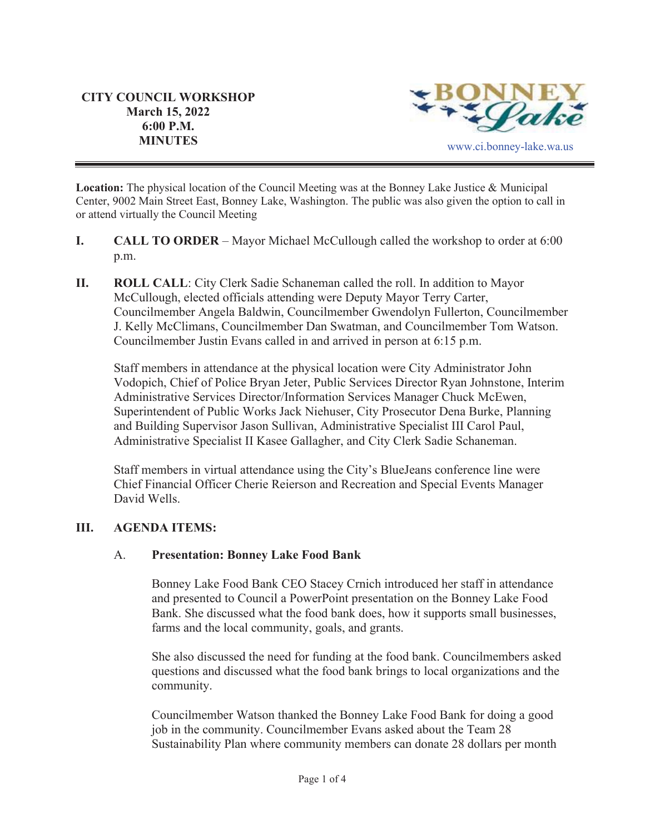

**Location:** The physical location of the Council Meeting was at the Bonney Lake Justice & Municipal Center, 9002 Main Street East, Bonney Lake, Washington. The public was also given the option to call in or attend virtually the Council Meeting

- **I. CALL TO ORDER**  Mayor Michael McCullough called the workshop to order at 6:00 p.m.
- **II.** ROLL CALL: City Clerk Sadie Schaneman called the roll. In addition to Mayor McCullough, elected officials attending were Deputy Mayor Terry Carter, Councilmember Angela Baldwin, Councilmember Gwendolyn Fullerton, Councilmember J. Kelly McClimans, Councilmember Dan Swatman, and Councilmember Tom Watson. Councilmember Justin Evans called in and arrived in person at 6:15 p.m.

Staff members in attendance at the physical location were City Administrator John Vodopich, Chief of Police Bryan Jeter, Public Services Director Ryan Johnstone, Interim Administrative Services Director/Information Services Manager Chuck McEwen, Superintendent of Public Works Jack Niehuser, City Prosecutor Dena Burke, Planning and Building Supervisor Jason Sullivan, Administrative Specialist III Carol Paul, Administrative Specialist II Kasee Gallagher, and City Clerk Sadie Schaneman.

Staff members in virtual attendance using the City's BlueJeans conference line were Chief Financial Officer Cherie Reierson and Recreation and Special Events Manager David Wells.

## **III. AGENDA ITEMS:**

#### A. **Presentation: Bonney Lake Food Bank**

Bonney Lake Food Bank CEO Stacey Crnich introduced her staff in attendance and presented to Council a PowerPoint presentation on the Bonney Lake Food Bank. She discussed what the food bank does, how it supports small businesses, farms and the local community, goals, and grants.

She also discussed the need for funding at the food bank. Councilmembers asked questions and discussed what the food bank brings to local organizations and the community.

Councilmember Watson thanked the Bonney Lake Food Bank for doing a good job in the community. Councilmember Evans asked about the Team 28 Sustainability Plan where community members can donate 28 dollars per month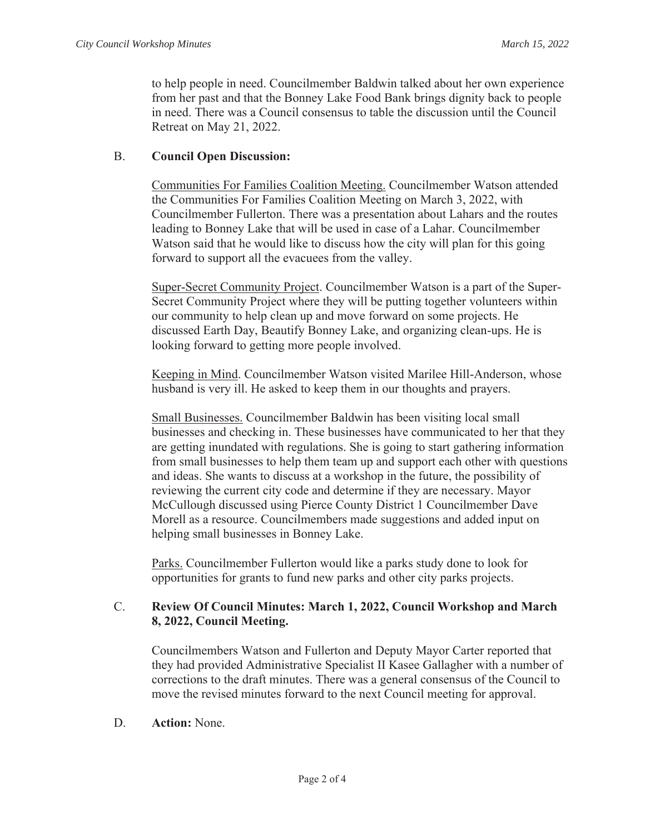to help people in need. Councilmember Baldwin talked about her own experience from her past and that the Bonney Lake Food Bank brings dignity back to people in need. There was a Council consensus to table the discussion until the Council Retreat on May 21, 2022.

### B. **Council Open Discussion:**

Communities For Families Coalition Meeting. Councilmember Watson attended the Communities For Families Coalition Meeting on March 3, 2022, with Councilmember Fullerton. There was a presentation about Lahars and the routes leading to Bonney Lake that will be used in case of a Lahar. Councilmember Watson said that he would like to discuss how the city will plan for this going forward to support all the evacuees from the valley.

Super-Secret Community Project. Councilmember Watson is a part of the Super-Secret Community Project where they will be putting together volunteers within our community to help clean up and move forward on some projects. He discussed Earth Day, Beautify Bonney Lake, and organizing clean-ups. He is looking forward to getting more people involved.

Keeping in Mind. Councilmember Watson visited Marilee Hill-Anderson, whose husband is very ill. He asked to keep them in our thoughts and prayers.

Small Businesses. Councilmember Baldwin has been visiting local small businesses and checking in. These businesses have communicated to her that they are getting inundated with regulations. She is going to start gathering information from small businesses to help them team up and support each other with questions and ideas. She wants to discuss at a workshop in the future, the possibility of reviewing the current city code and determine if they are necessary. Mayor McCullough discussed using Pierce County District 1 Councilmember Dave Morell as a resource. Councilmembers made suggestions and added input on helping small businesses in Bonney Lake.

Parks. Councilmember Fullerton would like a parks study done to look for opportunities for grants to fund new parks and other city parks projects.

## C. **Review Of Council Minutes: March 1, 2022, Council Workshop and March 8, 2022, Council Meeting.**

Councilmembers Watson and Fullerton and Deputy Mayor Carter reported that they had provided Administrative Specialist II Kasee Gallagher with a number of corrections to the draft minutes. There was a general consensus of the Council to move the revised minutes forward to the next Council meeting for approval.

D. **Action:** None.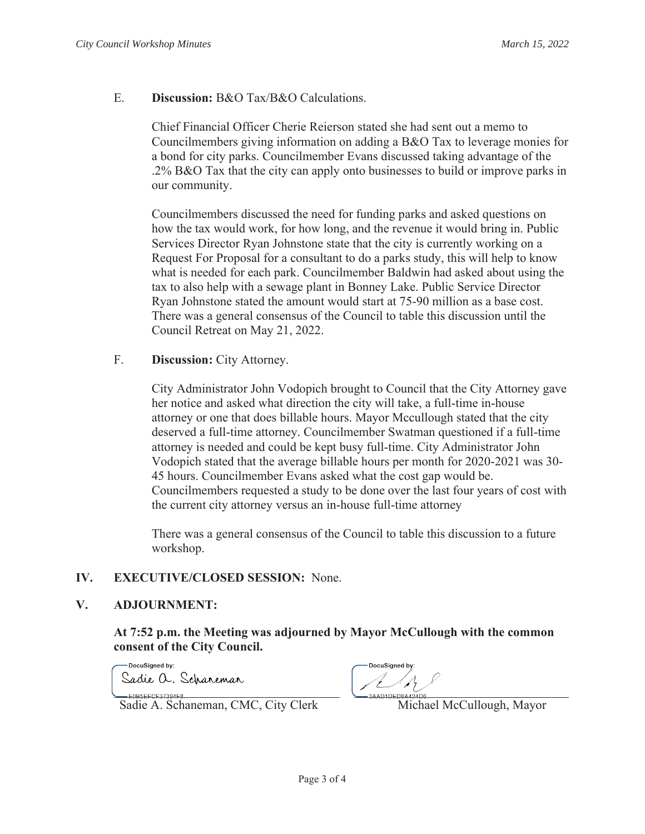#### E. **Discussion:** B&O Tax/B&O Calculations.

Chief Financial Officer Cherie Reierson stated she had sent out a memo to Councilmembers giving information on adding a B&O Tax to leverage monies for a bond for city parks. Councilmember Evans discussed taking advantage of the .2% B&O Tax that the city can apply onto businesses to build or improve parks in our community.

Councilmembers discussed the need for funding parks and asked questions on how the tax would work, for how long, and the revenue it would bring in. Public Services Director Ryan Johnstone state that the city is currently working on a Request For Proposal for a consultant to do a parks study, this will help to know what is needed for each park. Councilmember Baldwin had asked about using the tax to also help with a sewage plant in Bonney Lake. Public Service Director Ryan Johnstone stated the amount would start at 75-90 million as a base cost. There was a general consensus of the Council to table this discussion until the Council Retreat on May 21, 2022.

### F. **Discussion:** City Attorney.

City Administrator John Vodopich brought to Council that the City Attorney gave her notice and asked what direction the city will take, a full-time in-house attorney or one that does billable hours. Mayor Mccullough stated that the city deserved a full-time attorney. Councilmember Swatman questioned if a full-time attorney is needed and could be kept busy full-time. City Administrator John Vodopich stated that the average billable hours per month for 2020-2021 was 30- 45 hours. Councilmember Evans asked what the cost gap would be. Councilmembers requested a study to be done over the last four years of cost with the current city attorney versus an in-house full-time attorney

There was a general consensus of the Council to table this discussion to a future workshop.

## **IV. EXECUTIVE/CLOSED SESSION:** None.

#### **V. ADJOURNMENT:**

EQBSEECE37394E8

**At 7:52 p.m. the Meeting was adjourned by Mayor McCullough with the common consent of the City Council.**

-DocuSianed by: Sadie a. Schaneman

DocuSianed by  $\mathcal{A}_{\mathcal{A}}$ 

Sadie A. Schaneman, CMC, City Clerk Michael McCullough, Mayor